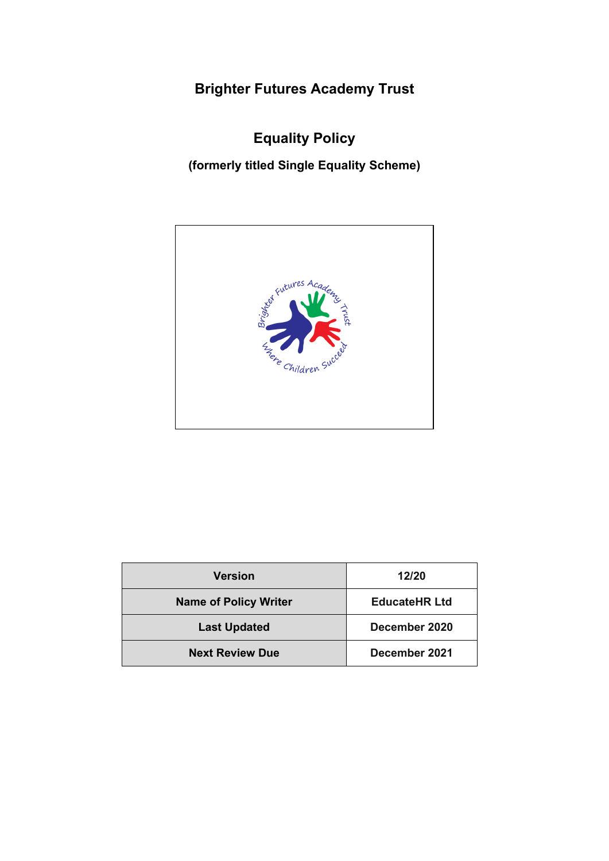**Brighter Futures Academy Trust**

**Equality Policy**

**(formerly titled Single Equality Scheme)**



| <b>Version</b>               | 12/20                |
|------------------------------|----------------------|
| <b>Name of Policy Writer</b> | <b>EducateHR Ltd</b> |
| <b>Last Updated</b>          | December 2020        |
| <b>Next Review Due</b>       | December 2021        |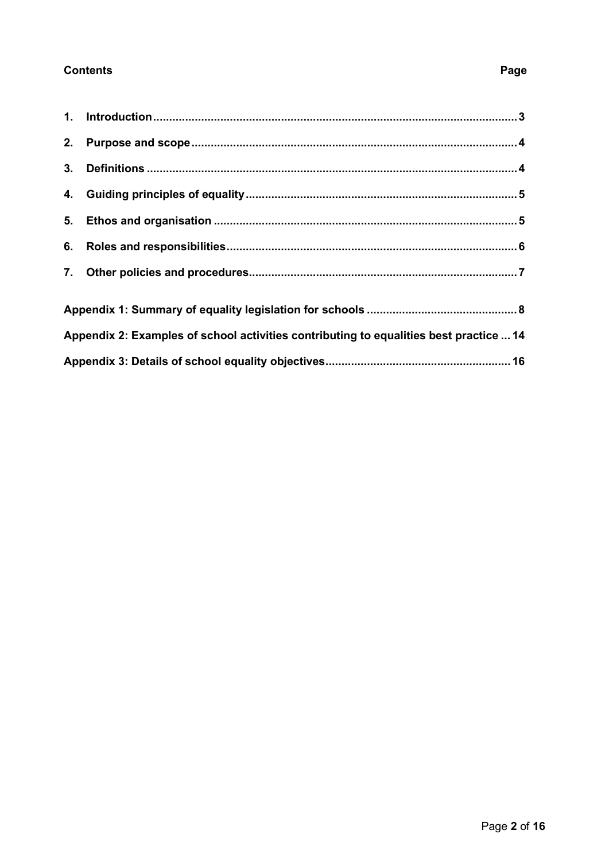# **Contents**

| Appendix 2: Examples of school activities contributing to equalities best practice  14 |  |  |
|----------------------------------------------------------------------------------------|--|--|
|                                                                                        |  |  |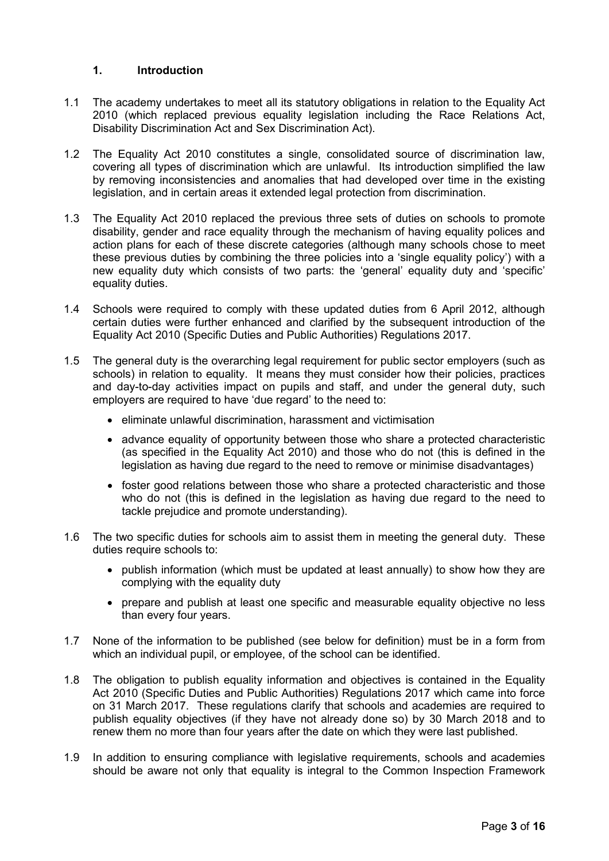## <span id="page-2-0"></span>**1. Introduction**

- 1.1 The academy undertakes to meet all its statutory obligations in relation to the Equality Act 2010 (which replaced previous equality legislation including the Race Relations Act, Disability Discrimination Act and Sex Discrimination Act).
- 1.2 The Equality Act 2010 constitutes a single, consolidated source of discrimination law, covering all types of discrimination which are unlawful. Its introduction simplified the law by removing inconsistencies and anomalies that had developed over time in the existing legislation, and in certain areas it extended legal protection from discrimination.
- 1.3 The Equality Act 2010 replaced the previous three sets of duties on schools to promote disability, gender and race equality through the mechanism of having equality polices and action plans for each of these discrete categories (although many schools chose to meet these previous duties by combining the three policies into a 'single equality policy') with a new equality duty which consists of two parts: the 'general' equality duty and 'specific' equality duties.
- 1.4 Schools were required to comply with these updated duties from 6 April 2012, although certain duties were further enhanced and clarified by the subsequent introduction of the Equality Act 2010 (Specific Duties and Public Authorities) Regulations 2017.
- 1.5 The general duty is the overarching legal requirement for public sector employers (such as schools) in relation to equality. It means they must consider how their policies, practices and day-to-day activities impact on pupils and staff, and under the general duty, such employers are required to have 'due regard' to the need to:
	- eliminate unlawful discrimination, harassment and victimisation
	- advance equality of opportunity between those who share a protected characteristic (as specified in the Equality Act 2010) and those who do not (this is defined in the legislation as having due regard to the need to remove or minimise disadvantages)
	- foster good relations between those who share a protected characteristic and those who do not (this is defined in the legislation as having due regard to the need to tackle prejudice and promote understanding).
- 1.6 The two specific duties for schools aim to assist them in meeting the general duty. These duties require schools to:
	- publish information (which must be updated at least annually) to show how they are complying with the equality duty
	- prepare and publish at least one specific and measurable equality objective no less than every four years.
- 1.7 None of the information to be published (see below for definition) must be in a form from which an individual pupil, or employee, of the school can be identified.
- 1.8 The obligation to publish equality information and objectives is contained in the Equality Act 2010 (Specific Duties and Public Authorities) Regulations 2017 which came into force on 31 March 2017. These regulations clarify that schools and academies are required to publish equality objectives (if they have not already done so) by 30 March 2018 and to renew them no more than four years after the date on which they were last published.
- 1.9 In addition to ensuring compliance with legislative requirements, schools and academies should be aware not only that equality is integral to the Common Inspection Framework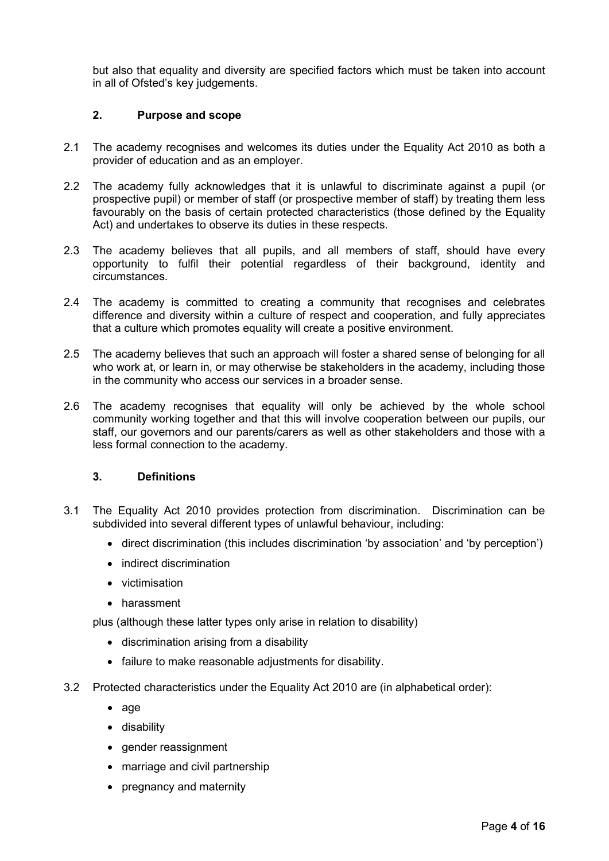but also that equality and diversity are specified factors which must be taken into account in all of Ofsted's key judgements.

## <span id="page-3-0"></span>**2. Purpose and scope**

- 2.1 The academy recognises and welcomes its duties under the Equality Act 2010 as both a provider of education and as an employer.
- 2.2 The academy fully acknowledges that it is unlawful to discriminate against a pupil (or prospective pupil) or member of staff (or prospective member of staff) by treating them less favourably on the basis of certain protected characteristics (those defined by the Equality Act) and undertakes to observe its duties in these respects.
- 2.3 The academy believes that all pupils, and all members of staff, should have every opportunity to fulfil their potential regardless of their background, identity and circumstances.
- 2.4 The academy is committed to creating a community that recognises and celebrates difference and diversity within a culture of respect and cooperation, and fully appreciates that a culture which promotes equality will create a positive environment.
- 2.5 The academy believes that such an approach will foster a shared sense of belonging for all who work at, or learn in, or may otherwise be stakeholders in the academy, including those in the community who access our services in a broader sense.
- 2.6 The academy recognises that equality will only be achieved by the whole school community working together and that this will involve cooperation between our pupils, our staff, our governors and our parents/carers as well as other stakeholders and those with a less formal connection to the academy.

## <span id="page-3-1"></span>**3. Definitions**

- 3.1 The Equality Act 2010 provides protection from discrimination. Discrimination can be subdivided into several different types of unlawful behaviour, including:
	- direct discrimination (this includes discrimination 'by association' and 'by perception')
	- indirect discrimination
	- victimisation
	- harassment

plus (although these latter types only arise in relation to disability)

- discrimination arising from a disability
- failure to make reasonable adjustments for disability.
- 3.2 Protected characteristics under the Equality Act 2010 are (in alphabetical order):
	- age
	- disability
	- gender reassignment
	- marriage and civil partnership
	- pregnancy and maternity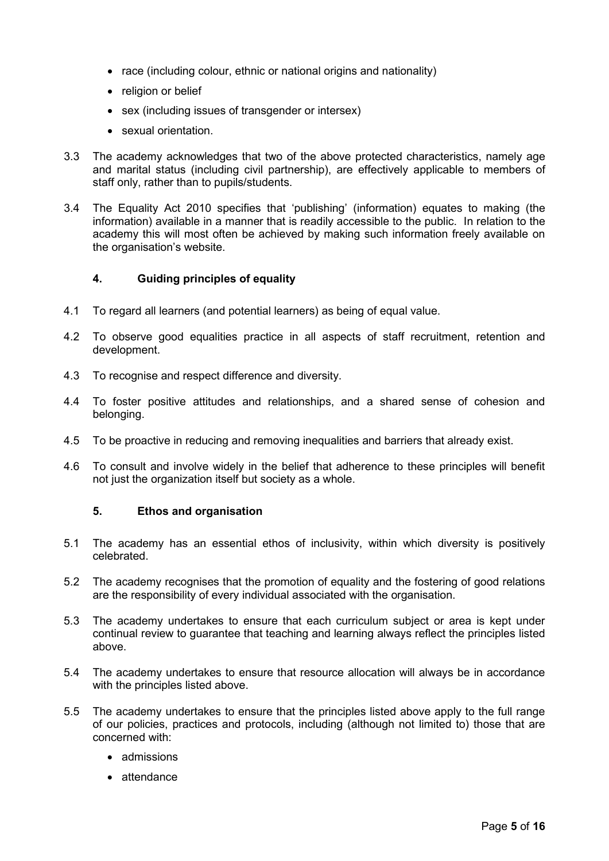- race (including colour, ethnic or national origins and nationality)
- religion or belief
- sex (including issues of transgender or intersex)
- sexual orientation.
- 3.3 The academy acknowledges that two of the above protected characteristics, namely age and marital status (including civil partnership), are effectively applicable to members of staff only, rather than to pupils/students.
- 3.4 The Equality Act 2010 specifies that 'publishing' (information) equates to making (the information) available in a manner that is readily accessible to the public. In relation to the academy this will most often be achieved by making such information freely available on the organisation's website.

## <span id="page-4-0"></span>**4. Guiding principles of equality**

- 4.1 To regard all learners (and potential learners) as being of equal value.
- 4.2 To observe good equalities practice in all aspects of staff recruitment, retention and development.
- 4.3 To recognise and respect difference and diversity.
- 4.4 To foster positive attitudes and relationships, and a shared sense of cohesion and belonging.
- 4.5 To be proactive in reducing and removing inequalities and barriers that already exist.
- 4.6 To consult and involve widely in the belief that adherence to these principles will benefit not just the organization itself but society as a whole.

## <span id="page-4-1"></span>**5. Ethos and organisation**

- 5.1 The academy has an essential ethos of inclusivity, within which diversity is positively celebrated.
- 5.2 The academy recognises that the promotion of equality and the fostering of good relations are the responsibility of every individual associated with the organisation.
- 5.3 The academy undertakes to ensure that each curriculum subject or area is kept under continual review to guarantee that teaching and learning always reflect the principles listed above.
- 5.4 The academy undertakes to ensure that resource allocation will always be in accordance with the principles listed above.
- 5.5 The academy undertakes to ensure that the principles listed above apply to the full range of our policies, practices and protocols, including (although not limited to) those that are concerned with:
	- admissions
	- attendance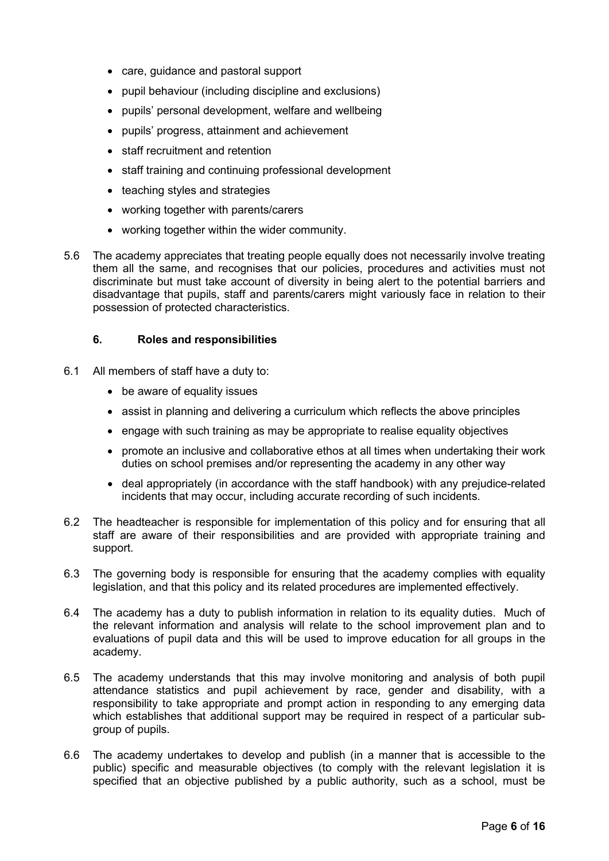- care, guidance and pastoral support
- pupil behaviour (including discipline and exclusions)
- pupils' personal development, welfare and wellbeing
- pupils' progress, attainment and achievement
- staff recruitment and retention
- staff training and continuing professional development
- teaching styles and strategies
- working together with parents/carers
- working together within the wider community.
- 5.6 The academy appreciates that treating people equally does not necessarily involve treating them all the same, and recognises that our policies, procedures and activities must not discriminate but must take account of diversity in being alert to the potential barriers and disadvantage that pupils, staff and parents/carers might variously face in relation to their possession of protected characteristics.

## <span id="page-5-0"></span>**6. Roles and responsibilities**

- 6.1 All members of staff have a duty to:
	- be aware of equality issues
	- assist in planning and delivering a curriculum which reflects the above principles
	- engage with such training as may be appropriate to realise equality objectives
	- promote an inclusive and collaborative ethos at all times when undertaking their work duties on school premises and/or representing the academy in any other way
	- deal appropriately (in accordance with the staff handbook) with any prejudice-related incidents that may occur, including accurate recording of such incidents.
- 6.2 The headteacher is responsible for implementation of this policy and for ensuring that all staff are aware of their responsibilities and are provided with appropriate training and support.
- 6.3 The governing body is responsible for ensuring that the academy complies with equality legislation, and that this policy and its related procedures are implemented effectively.
- 6.4 The academy has a duty to publish information in relation to its equality duties. Much of the relevant information and analysis will relate to the school improvement plan and to evaluations of pupil data and this will be used to improve education for all groups in the academy.
- 6.5 The academy understands that this may involve monitoring and analysis of both pupil attendance statistics and pupil achievement by race, gender and disability, with a responsibility to take appropriate and prompt action in responding to any emerging data which establishes that additional support may be required in respect of a particular subgroup of pupils.
- 6.6 The academy undertakes to develop and publish (in a manner that is accessible to the public) specific and measurable objectives (to comply with the relevant legislation it is specified that an objective published by a public authority, such as a school, must be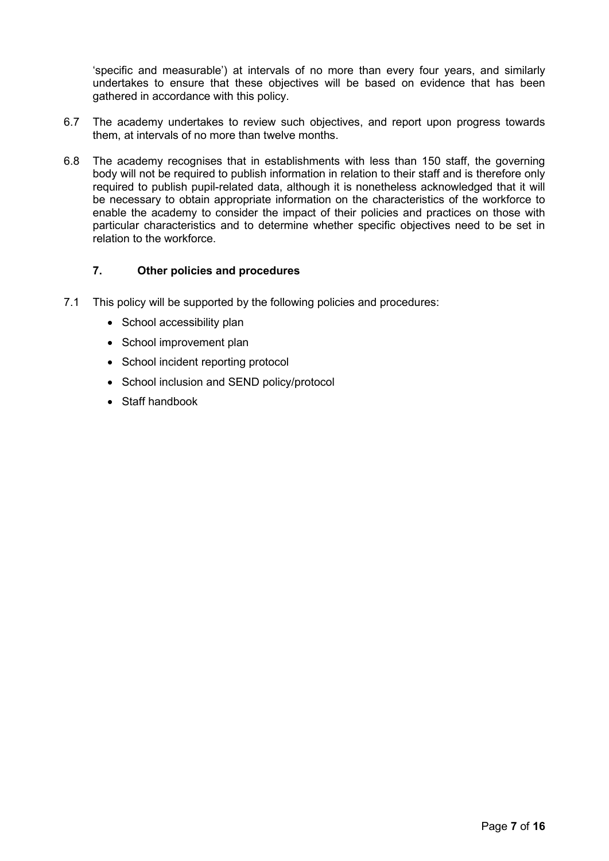'specific and measurable') at intervals of no more than every four years, and similarly undertakes to ensure that these objectives will be based on evidence that has been gathered in accordance with this policy.

- 6.7 The academy undertakes to review such objectives, and report upon progress towards them, at intervals of no more than twelve months.
- 6.8 The academy recognises that in establishments with less than 150 staff, the governing body will not be required to publish information in relation to their staff and is therefore only required to publish pupil-related data, although it is nonetheless acknowledged that it will be necessary to obtain appropriate information on the characteristics of the workforce to enable the academy to consider the impact of their policies and practices on those with particular characteristics and to determine whether specific objectives need to be set in relation to the workforce.

## <span id="page-6-0"></span>**7. Other policies and procedures**

- <span id="page-6-1"></span>7.1 This policy will be supported by the following policies and procedures:
	- School accessibility plan
	- School improvement plan
	- School incident reporting protocol
	- School inclusion and SEND policy/protocol
	- Staff handbook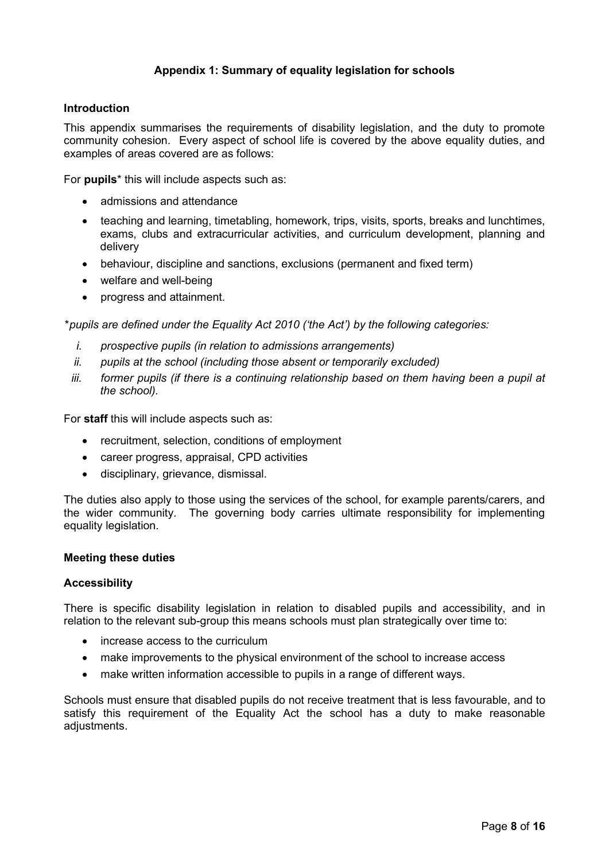## **Appendix 1: Summary of equality legislation for schools**

#### **Introduction**

This appendix summarises the requirements of disability legislation, and the duty to promote community cohesion. Every aspect of school life is covered by the above equality duties, and examples of areas covered are as follows:

For **pupils**\* this will include aspects such as:

- admissions and attendance
- teaching and learning, timetabling, homework, trips, visits, sports, breaks and lunchtimes, exams, clubs and extracurricular activities, and curriculum development, planning and delivery
- behaviour, discipline and sanctions, exclusions (permanent and fixed term)
- welfare and well-being
- progress and attainment.

*\*pupils are defined under the Equality Act 2010 ('the Act') by the following categories:*

- *i. prospective pupils (in relation to admissions arrangements)*
- *ii. pupils at the school (including those absent or temporarily excluded)*
- *iii. former pupils (if there is a continuing relationship based on them having been a pupil at the school).*

For **staff** this will include aspects such as:

- recruitment, selection, conditions of employment
- career progress, appraisal, CPD activities
- disciplinary, grievance, dismissal.

The duties also apply to those using the services of the school, for example parents/carers, and the wider community. The governing body carries ultimate responsibility for implementing equality legislation.

#### **Meeting these duties**

#### **Accessibility**

There is specific disability legislation in relation to disabled pupils and accessibility, and in relation to the relevant sub-group this means schools must plan strategically over time to:

- increase access to the curriculum
- make improvements to the physical environment of the school to increase access
- make written information accessible to pupils in a range of different ways.

Schools must ensure that disabled pupils do not receive treatment that is less favourable, and to satisfy this requirement of the Equality Act the school has a duty to make reasonable adiustments.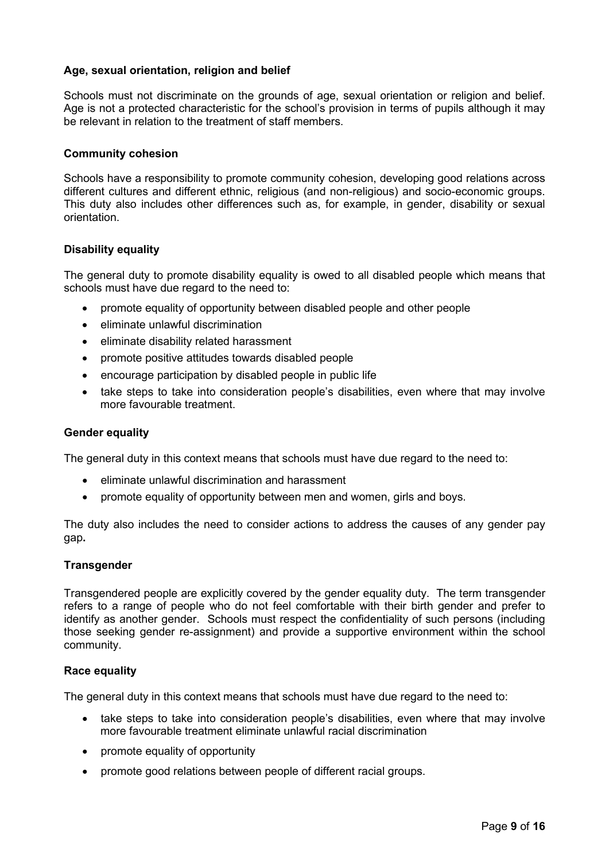## **Age, sexual orientation, religion and belief**

Schools must not discriminate on the grounds of age, sexual orientation or religion and belief. Age is not a protected characteristic for the school's provision in terms of pupils although it may be relevant in relation to the treatment of staff members.

#### **Community cohesion**

Schools have a responsibility to promote community cohesion, developing good relations across different cultures and different ethnic, religious (and non-religious) and socio-economic groups. This duty also includes other differences such as, for example, in gender, disability or sexual orientation.

## **Disability equality**

The general duty to promote disability equality is owed to all disabled people which means that schools must have due regard to the need to:

- promote equality of opportunity between disabled people and other people
- eliminate unlawful discrimination
- eliminate disability related harassment
- promote positive attitudes towards disabled people
- encourage participation by disabled people in public life
- take steps to take into consideration people's disabilities, even where that may involve more favourable treatment.

#### **Gender equality**

The general duty in this context means that schools must have due regard to the need to:

- eliminate unlawful discrimination and harassment
- promote equality of opportunity between men and women, girls and boys.

The duty also includes the need to consider actions to address the causes of any gender pay gap**.**

## **Transgender**

Transgendered people are explicitly covered by the gender equality duty. The term transgender refers to a range of people who do not feel comfortable with their birth gender and prefer to identify as another gender. Schools must respect the confidentiality of such persons (including those seeking gender re-assignment) and provide a supportive environment within the school community.

## **Race equality**

The general duty in this context means that schools must have due regard to the need to:

- take steps to take into consideration people's disabilities, even where that may involve more favourable treatment eliminate unlawful racial discrimination
- promote equality of opportunity
- promote good relations between people of different racial groups.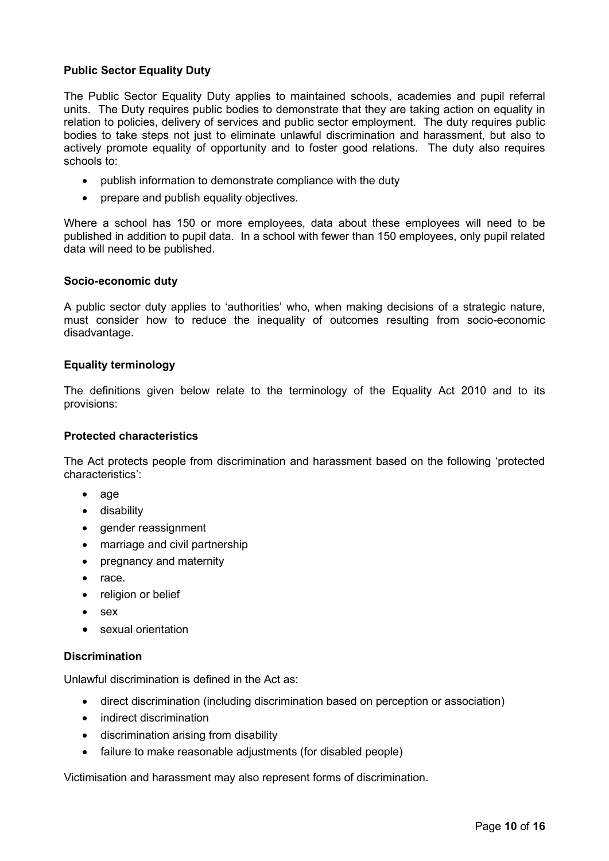## **Public Sector Equality Duty**

The Public Sector Equality Duty applies to maintained schools, academies and pupil referral units. The Duty requires public bodies to demonstrate that they are taking action on equality in relation to policies, delivery of services and public sector employment. The duty requires public bodies to take steps not just to eliminate unlawful discrimination and harassment, but also to actively promote equality of opportunity and to foster good relations. The duty also requires schools to:

- publish information to demonstrate compliance with the duty
- prepare and publish equality objectives.

Where a school has 150 or more employees, data about these employees will need to be published in addition to pupil data. In a school with fewer than 150 employees, only pupil related data will need to be published.

#### **Socio-economic duty**

A public sector duty applies to 'authorities' who, when making decisions of a strategic nature, must consider how to reduce the inequality of outcomes resulting from socio-economic disadvantage.

#### **Equality terminology**

The definitions given below relate to the terminology of the Equality Act 2010 and to its provisions:

#### **Protected characteristics**

The Act protects people from discrimination and harassment based on the following 'protected characteristics':

- age
- disability
- gender reassignment
- marriage and civil partnership
- pregnancy and maternity
- race.
- religion or belief
- sex
- sexual orientation

## **Discrimination**

Unlawful discrimination is defined in the Act as:

- direct discrimination (including discrimination based on perception or association)
- indirect discrimination
- discrimination arising from disability
- failure to make reasonable adjustments (for disabled people)

Victimisation and harassment may also represent forms of discrimination.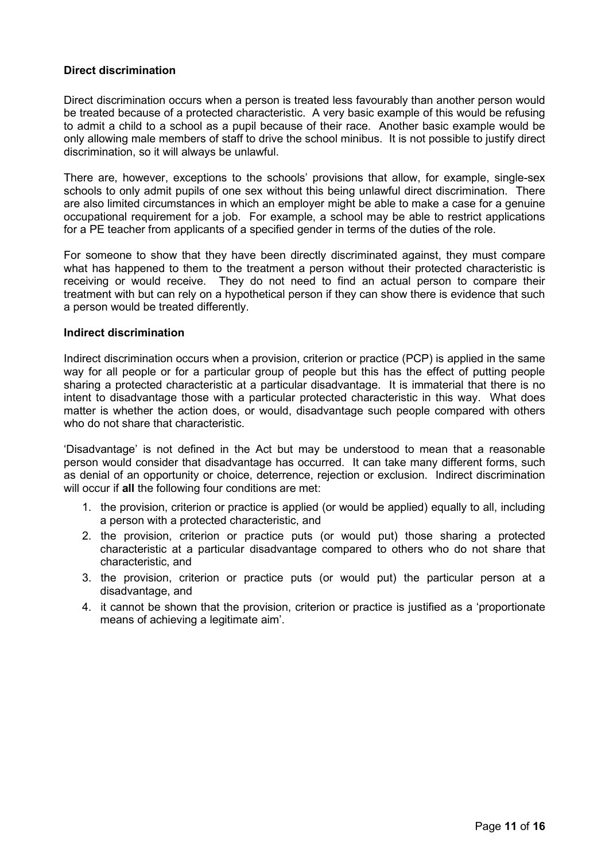## **Direct discrimination**

Direct discrimination occurs when a person is treated less favourably than another person would be treated because of a protected characteristic. A very basic example of this would be refusing to admit a child to a school as a pupil because of their race. Another basic example would be only allowing male members of staff to drive the school minibus. It is not possible to justify direct discrimination, so it will always be unlawful.

There are, however, exceptions to the schools' provisions that allow, for example, single-sex schools to only admit pupils of one sex without this being unlawful direct discrimination. There are also limited circumstances in which an employer might be able to make a case for a genuine occupational requirement for a job. For example, a school may be able to restrict applications for a PE teacher from applicants of a specified gender in terms of the duties of the role.

For someone to show that they have been directly discriminated against, they must compare what has happened to them to the treatment a person without their protected characteristic is receiving or would receive. They do not need to find an actual person to compare their treatment with but can rely on a hypothetical person if they can show there is evidence that such a person would be treated differently.

#### **Indirect discrimination**

Indirect discrimination occurs when a provision, criterion or practice (PCP) is applied in the same way for all people or for a particular group of people but this has the effect of putting people sharing a protected characteristic at a particular disadvantage. It is immaterial that there is no intent to disadvantage those with a particular protected characteristic in this way. What does matter is whether the action does, or would, disadvantage such people compared with others who do not share that characteristic.

'Disadvantage' is not defined in the Act but may be understood to mean that a reasonable person would consider that disadvantage has occurred. It can take many different forms, such as denial of an opportunity or choice, deterrence, rejection or exclusion. Indirect discrimination will occur if **all** the following four conditions are met:

- 1. the provision, criterion or practice is applied (or would be applied) equally to all, including a person with a protected characteristic, and
- 2. the provision, criterion or practice puts (or would put) those sharing a protected characteristic at a particular disadvantage compared to others who do not share that characteristic, and
- 3. the provision, criterion or practice puts (or would put) the particular person at a disadvantage, and
- 4. it cannot be shown that the provision, criterion or practice is justified as a 'proportionate means of achieving a legitimate aim'.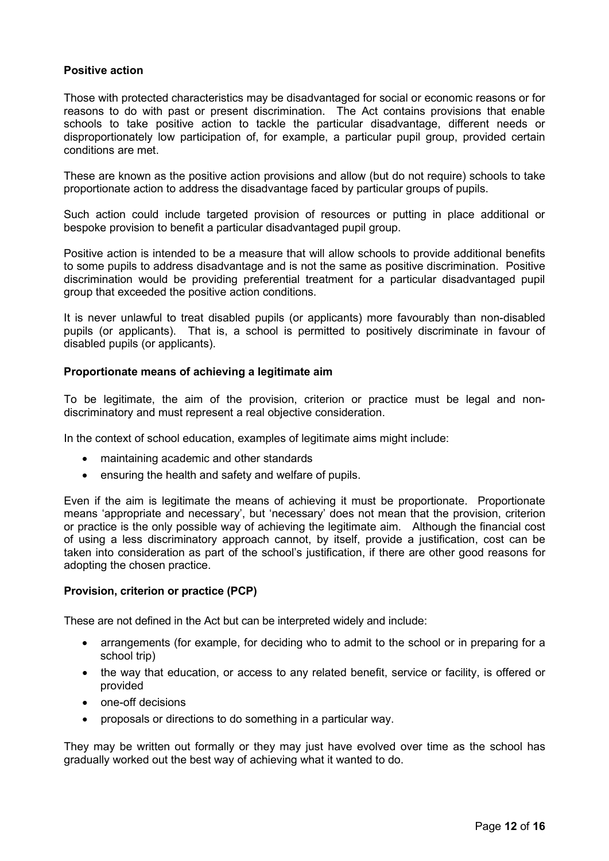## **Positive action**

Those with protected characteristics may be disadvantaged for social or economic reasons or for reasons to do with past or present discrimination. The Act contains provisions that enable schools to take positive action to tackle the particular disadvantage, different needs or disproportionately low participation of, for example, a particular pupil group, provided certain conditions are met.

These are known as the positive action provisions and allow (but do not require) schools to take proportionate action to address the disadvantage faced by particular groups of pupils.

Such action could include targeted provision of resources or putting in place additional or bespoke provision to benefit a particular disadvantaged pupil group.

Positive action is intended to be a measure that will allow schools to provide additional benefits to some pupils to address disadvantage and is not the same as positive discrimination. Positive discrimination would be providing preferential treatment for a particular disadvantaged pupil group that exceeded the positive action conditions.

It is never unlawful to treat disabled pupils (or applicants) more favourably than non-disabled pupils (or applicants). That is, a school is permitted to positively discriminate in favour of disabled pupils (or applicants).

## **Proportionate means of achieving a legitimate aim**

To be legitimate, the aim of the provision, criterion or practice must be legal and nondiscriminatory and must represent a real objective consideration.

In the context of school education, examples of legitimate aims might include:

- maintaining academic and other standards
- ensuring the health and safety and welfare of pupils.

Even if the aim is legitimate the means of achieving it must be proportionate. Proportionate means 'appropriate and necessary', but 'necessary' does not mean that the provision, criterion or practice is the only possible way of achieving the legitimate aim. Although the financial cost of using a less discriminatory approach cannot, by itself, provide a justification, cost can be taken into consideration as part of the school's justification, if there are other good reasons for adopting the chosen practice.

## **Provision, criterion or practice (PCP)**

These are not defined in the Act but can be interpreted widely and include:

- arrangements (for example, for deciding who to admit to the school or in preparing for a school trip)
- the way that education, or access to any related benefit, service or facility, is offered or provided
- one-off decisions
- proposals or directions to do something in a particular way.

They may be written out formally or they may just have evolved over time as the school has gradually worked out the best way of achieving what it wanted to do.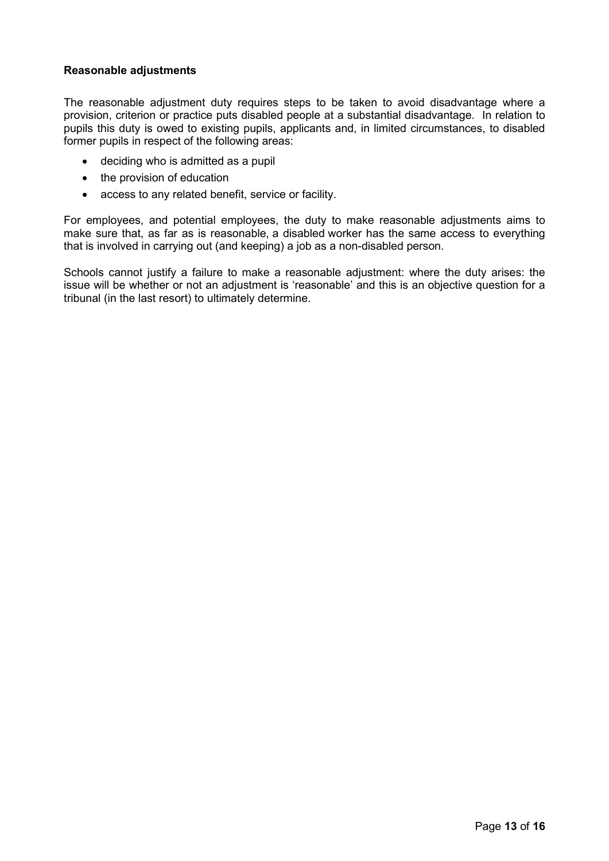## **Reasonable adjustments**

The reasonable adjustment duty requires steps to be taken to avoid disadvantage where a provision, criterion or practice puts disabled people at a substantial disadvantage. In relation to pupils this duty is owed to existing pupils, applicants and, in limited circumstances, to disabled former pupils in respect of the following areas:

- deciding who is admitted as a pupil
- the provision of education
- access to any related benefit, service or facility.

For employees, and potential employees, the duty to make reasonable adjustments aims to make sure that, as far as is reasonable, a disabled worker has the same access to everything that is involved in carrying out (and keeping) a job as a non-disabled person.

Schools cannot justify a failure to make a reasonable adjustment: where the duty arises: the issue will be whether or not an adjustment is 'reasonable' and this is an objective question for a tribunal (in the last resort) to ultimately determine.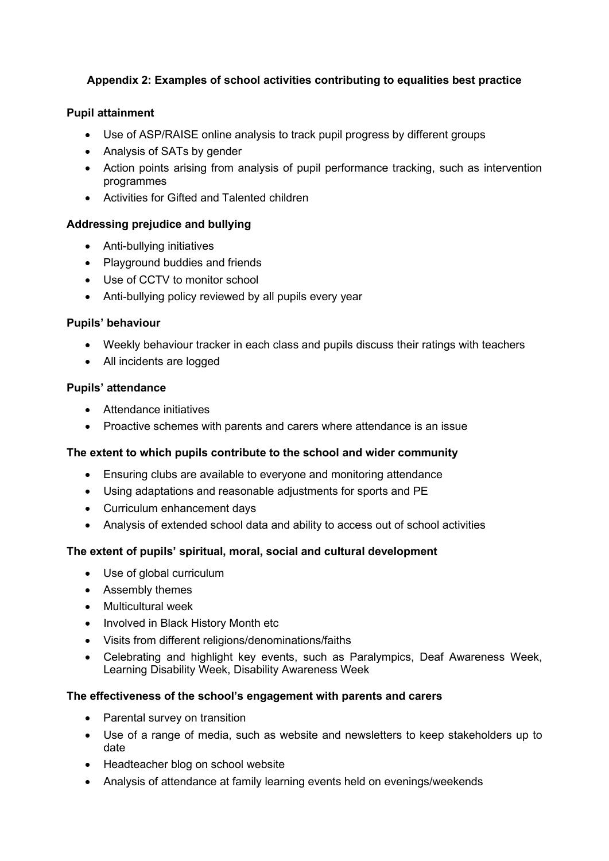# <span id="page-13-0"></span>**Appendix 2: Examples of school activities contributing to equalities best practice**

# **Pupil attainment**

- Use of ASP/RAISE online analysis to track pupil progress by different groups
- Analysis of SATs by gender
- Action points arising from analysis of pupil performance tracking, such as intervention programmes
- Activities for Gifted and Talented children

## **Addressing prejudice and bullying**

- Anti-bullying initiatives
- Playground buddies and friends
- Use of CCTV to monitor school
- Anti-bullying policy reviewed by all pupils every year

## **Pupils' behaviour**

- Weekly behaviour tracker in each class and pupils discuss their ratings with teachers
- All incidents are logged

## **Pupils' attendance**

- Attendance initiatives
- Proactive schemes with parents and carers where attendance is an issue

## **The extent to which pupils contribute to the school and wider community**

- Ensuring clubs are available to everyone and monitoring attendance
- Using adaptations and reasonable adjustments for sports and PE
- Curriculum enhancement days
- Analysis of extended school data and ability to access out of school activities

## **The extent of pupils' spiritual, moral, social and cultural development**

- Use of global curriculum
- Assembly themes
- Multicultural week
- Involved in Black History Month etc
- Visits from different religions/denominations/faiths
- Celebrating and highlight key events, such as Paralympics, Deaf Awareness Week, Learning Disability Week, Disability Awareness Week

## **The effectiveness of the school's engagement with parents and carers**

- Parental survey on transition
- Use of a range of media, such as website and newsletters to keep stakeholders up to date
- Headteacher blog on school website
- Analysis of attendance at family learning events held on evenings/weekends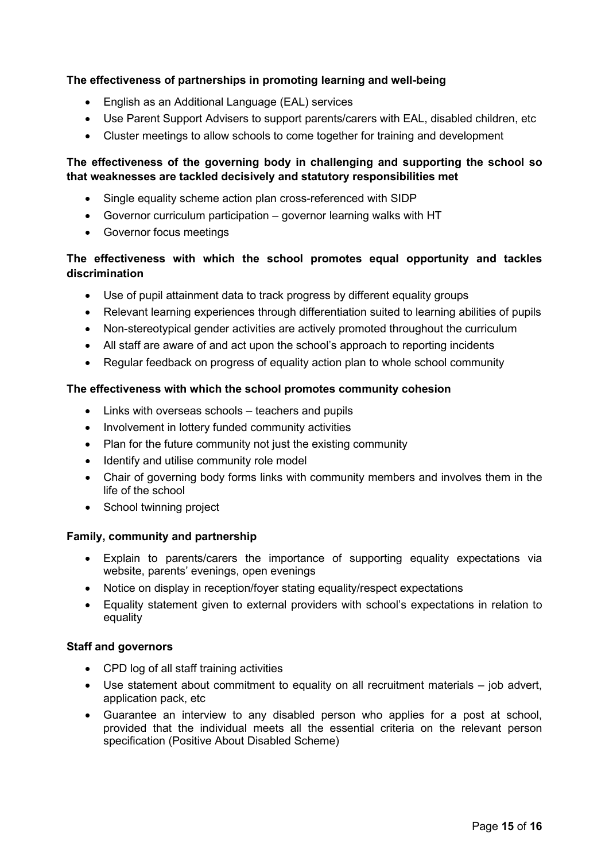# **The effectiveness of partnerships in promoting learning and well-being**

- English as an Additional Language (EAL) services
- Use Parent Support Advisers to support parents/carers with EAL, disabled children, etc
- Cluster meetings to allow schools to come together for training and development

# **The effectiveness of the governing body in challenging and supporting the school so that weaknesses are tackled decisively and statutory responsibilities met**

- Single equality scheme action plan cross-referenced with SIDP
- Governor curriculum participation governor learning walks with HT
- Governor focus meetings

# **The effectiveness with which the school promotes equal opportunity and tackles discrimination**

- Use of pupil attainment data to track progress by different equality groups
- Relevant learning experiences through differentiation suited to learning abilities of pupils
- Non-stereotypical gender activities are actively promoted throughout the curriculum
- All staff are aware of and act upon the school's approach to reporting incidents
- Regular feedback on progress of equality action plan to whole school community

## **The effectiveness with which the school promotes community cohesion**

- Links with overseas schools teachers and pupils
- Involvement in lottery funded community activities
- Plan for the future community not just the existing community
- Identify and utilise community role model
- Chair of governing body forms links with community members and involves them in the life of the school
- School twinning project

## **Family, community and partnership**

- Explain to parents/carers the importance of supporting equality expectations via website, parents' evenings, open evenings
- Notice on display in reception/foyer stating equality/respect expectations
- Equality statement given to external providers with school's expectations in relation to equality

## **Staff and governors**

- CPD log of all staff training activities
- Use statement about commitment to equality on all recruitment materials job advert, application pack, etc
- Guarantee an interview to any disabled person who applies for a post at school, provided that the individual meets all the essential criteria on the relevant person specification (Positive About Disabled Scheme)